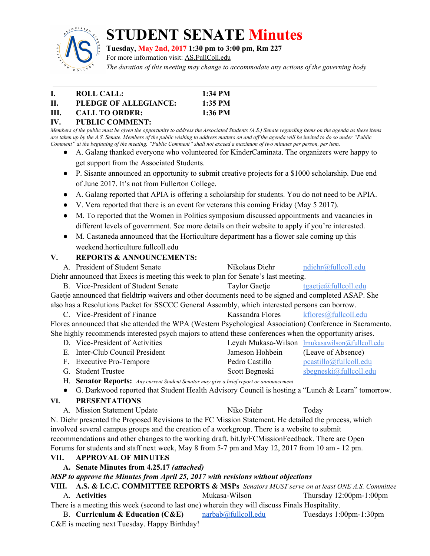

# **STUDENT SENATE Minutes**

**Tuesday, May 2nd, 2017 1:30 pm to 3:00 pm, Rm 227**

For more information visit: AS.FullColl.edu

*The duration of this meeting may change to accommodate any actions of the governing body*

|      | ROLL CALL:            | $1:34$ PM |
|------|-----------------------|-----------|
| H.   | PLEDGE OF ALLEGIANCE: | $1:35$ PM |
| III. | <b>CALL TO ORDER:</b> | $1:36$ PM |

#### **IV. PUBLIC COMMENT:**

Members of the public must be given the opportunity to address the Associated Students (A.S.) Senate regarding items on the agenda as these items are taken up by the A.S. Senate. Members of the public wishing to address matters on and off the agenda will be invited to do so under "Public Comment" at the beginning of the meeting. "Public Comment" shall not exceed a maximum of two minutes per person, per item.

- A. Galang thanked everyone who volunteered for KinderCaminata. The organizers were happy to get support from the Associated Students.
- P. Sisante announced an opportunity to submit creative projects for a \$1000 scholarship. Due end of June 2017. It's not from Fullerton College.
- A. Galang reported that APIA is offering a scholarship for students. You do not need to be APIA.
- V. Vera reported that there is an event for veterans this coming Friday (May 5 2017).
- M. To reported that the Women in Politics symposium discussed appointments and vacancies in different levels of government. See more details on their website to apply if you're interested.
- M. Castaneda announced that the Horticulture department has a flower sale coming up this weekend.horticulture.fullcoll.edu

# **V. REPORTS & ANNOUNCEMENTS:**

A. President of Student Senate Nikolaus Diehr [ndiehr@fullcoll.edu](mailto:ndiehr@fullcoll.edu) Diehr announced that Execs is meeting this week to plan for Senate's last meeting. B. Vice-President of Student Senate Taylor Gaetje [tgaetje@fullcoll.edu](mailto:tgaetje@fullcoll.edu) Gaetje announced that fieldtrip waivers and other documents need to be signed and completed ASAP. She also has a Resolutions Packet for SSCCC General Assembly, which interested persons can borrow. C. Vice-President of Finance Kassandra Flores [kflores@fullcoll.edu](mailto:kflores@fullcoll.edu) Flores announced that she attended the WPA (Western Psychological Association) Conference in Sacramento. She highly recommends interested psych majors to attend these conferences when the opportunity arises.

| D. Vice-President of Activities |                 | Leyah Mukasa-Wilson <u>Imukasawilson@fullcoll.edu</u> |
|---------------------------------|-----------------|-------------------------------------------------------|
| E. Inter-Club Council President | Jameson Hohbein | (Leave of Absence)                                    |
| F. Executive Pro-Tempore        | Pedro Castillo  | pcastillo@fullcoll.edu                                |
| G. Student Trustee              | Scott Begneski  | $s$ begneski $@$ fullcoll.edu                         |

H. **Senator Reports:** *Any current Student Senator may give <sup>a</sup> brief report or announcement*

● G. Darkwood reported that Student Health Advisory Council is hosting a "Lunch & Learn" tomorrow.

# **VI. PRESENTATIONS**

A. Mission Statement Update Niko Diehr Today N. Diehr presented the Proposed Revisions to the FC Mission Statement. He detailed the process, which involved several campus groups and the creation of a workgroup. There is a website to submit recommendations and other changes to the working draft. bit.ly/FCMissionFeedback. There are Open Forums for students and staff next week, May 8 from 5-7 pm and May 12, 2017 from 10 am - 12 pm.

# **VII. APPROVAL OF MINUTES**

**A. Senate Minutes from 4.25.17** *(attached)*

# *MSP to approve the Minutes from April 25, 2017 with revisions without objections*

**VIII. A.S. & I.C.C. COMMITTEE REPORTS & MSPs** *Senators MUST serve on at least ONE A.S. Committee* A. **Activities** Mukasa-Wilson Thursday 12:00pm-1:00pm

There is a meeting this week (second to last one) wherein they will discuss Finals Hospitality.

B. **Curriculum & Education (C&E)** [narbab@fullcoll.edu](mailto:narbab@fullcoll.edu) Tuesdays 1:00pm-1:30pm C&E is meeting next Tuesday. Happy Birthday!